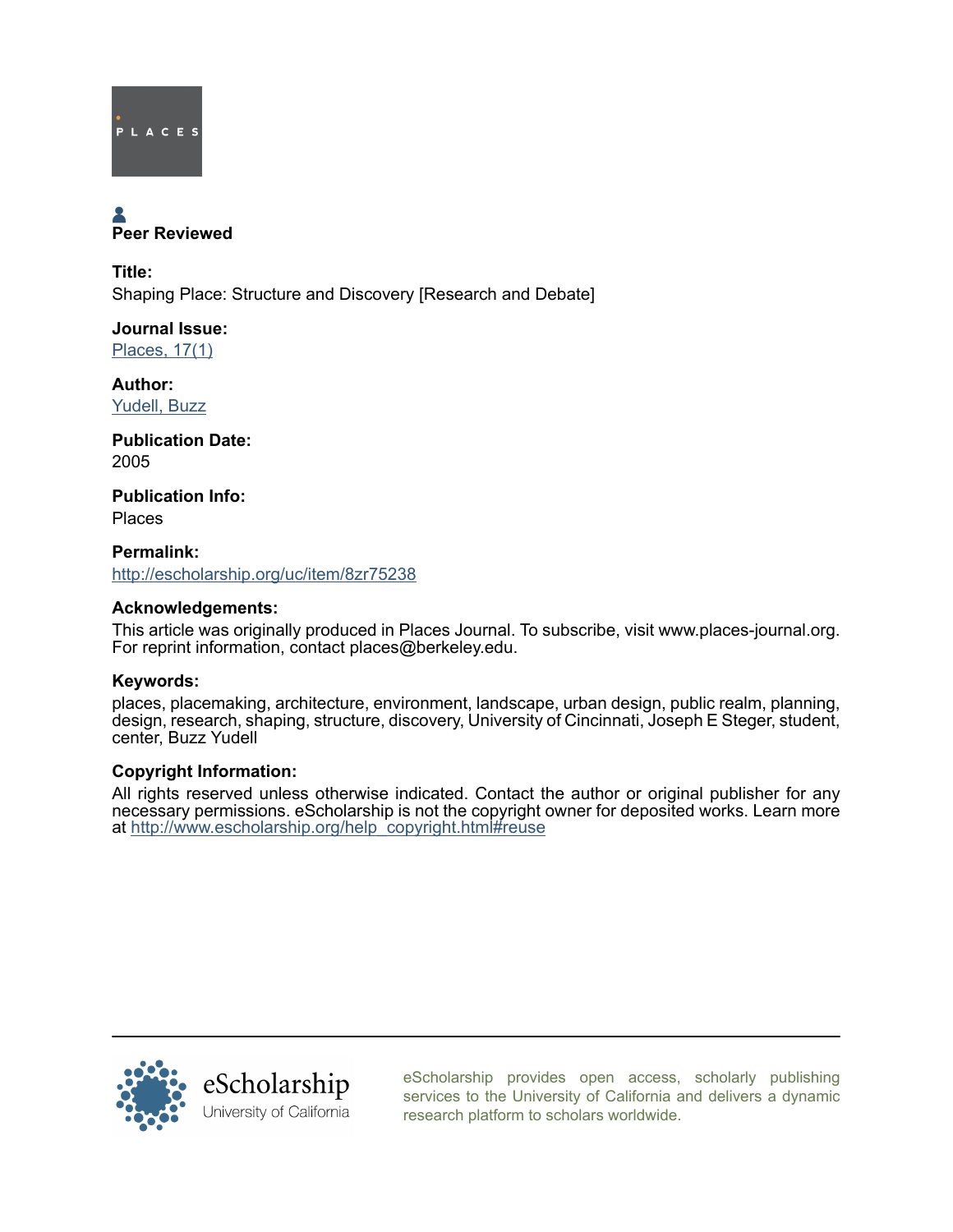

# Peer Reviewed

Title: Shaping Place: Structure and Discovery [Research and Debate]

Journal Issue: [Places, 17\(1\)](http://escholarship.org/uc/ced_places?volume=17;issue=1)

Author: [Yudell, Buzz](http://escholarship.org/uc/search?creator=Yudell%2C%20Buzz)

Publication Date: 2005

Publication Info: Places

Permalink: <http://escholarship.org/uc/item/8zr75238>

# Acknowledgements:

This article was originally produced in Places Journal. To subscribe, visit www.places-journal.org. For reprint information, contact places@berkeley.edu.

# Keywords:

places, placemaking, architecture, environment, landscape, urban design, public realm, planning, design, research, shaping, structure, discovery, University of Cincinnati, Joseph E Steger, student, center, Buzz Yudell

### Copyright Information:

All rights reserved unless otherwise indicated. Contact the author or original publisher for any necessary permissions. eScholarship is not the copyright owner for deposited works. Learn more at [http://www.escholarship.org/help\\_copyright.html#reuse](http://www.escholarship.org/help_copyright.html#reuse)



[eScholarship provides open access, scholarly publishing](http://escholarship.org) [services to the University of California and delivers a dynamic](http://escholarship.org) [research platform to scholars worldwide.](http://escholarship.org)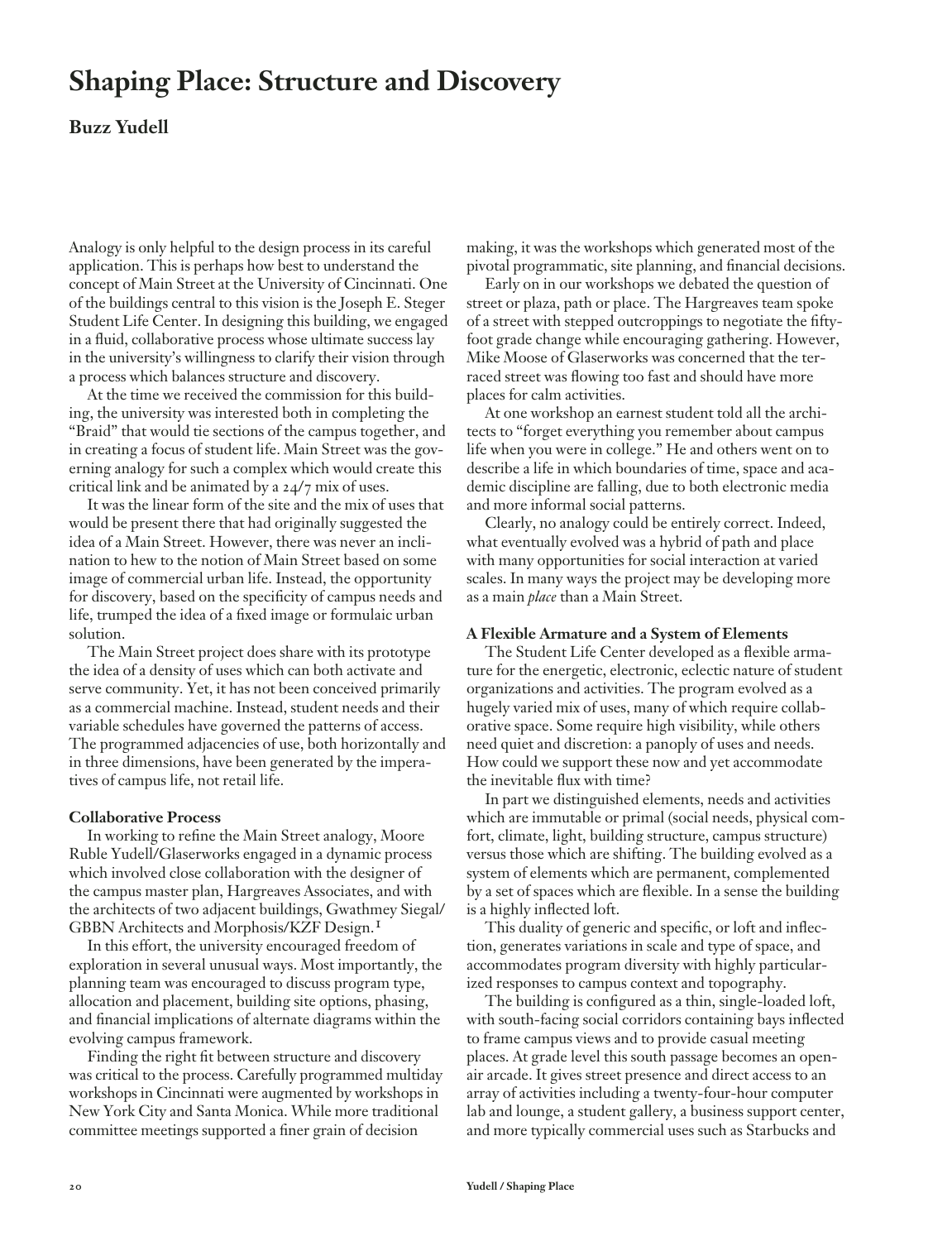# **Shaping Place: Structure and Discovery**

## **Buzz Yudell**

Analogy is only helpful to the design process in its careful application. This is perhaps how best to understand the concept of Main Street at the University of Cincinnati. One of the buildings central to this vision is the Joseph E. Steger Student Life Center. In designing this building, we engaged in a fluid, collaborative process whose ultimate success lay in the university's willingness to clarify their vision through a process which balances structure and discovery.

At the time we received the commission for this building, the university was interested both in completing the "Braid" that would tie sections of the campus together, and in creating a focus of student life. Main Street was the governing analogy for such a complex which would create this critical link and be animated by a  $24/7$  mix of uses.

It was the linear form of the site and the mix of uses that would be present there that had originally suggested the idea of a Main Street. However, there was never an inclination to hew to the notion of Main Street based on some image of commercial urban life. Instead, the opportunity for discovery, based on the specificity of campus needs and life, trumped the idea of a fixed image or formulaic urban solution.

The Main Street project does share with its prototype the idea of a density of uses which can both activate and serve community. Yet, it has not been conceived primarily as a commercial machine. Instead, student needs and their variable schedules have governed the patterns of access. The programmed adjacencies of use, both horizontally and in three dimensions, have been generated by the imperatives of campus life, not retail life.

### **Collaborative Process**

In working to refine the Main Street analogy, Moore Ruble Yudell/Glaserworks engaged in a dynamic process which involved close collaboration with the designer of the campus master plan, Hargreaves Associates, and with the architects of two adjacent buildings, Gwathmey Siegal/ GBBN Architects and Morphosis/KZF Design.1

In this effort, the university encouraged freedom of exploration in several unusual ways. Most importantly, the planning team was encouraged to discuss program type, allocation and placement, building site options, phasing, and financial implications of alternate diagrams within the evolving campus framework.

Finding the right fit between structure and discovery was critical to the process. Carefully programmed multiday workshops in Cincinnati were augmented by workshops in New York City and Santa Monica. While more traditional committee meetings supported a finer grain of decision

making, it was the workshops which generated most of the pivotal programmatic, site planning, and financial decisions.

Early on in our workshops we debated the question of street or plaza, path or place. The Hargreaves team spoke of a street with stepped outcroppings to negotiate the fiftyfoot grade change while encouraging gathering. However, Mike Moose of Glaserworks was concerned that the terraced street was flowing too fast and should have more places for calm activities.

At one workshop an earnest student told all the architects to "forget everything you remember about campus life when you were in college." He and others went on to describe a life in which boundaries of time, space and academic discipline are falling, due to both electronic media and more informal social patterns.

Clearly, no analogy could be entirely correct. Indeed, what eventually evolved was a hybrid of path and place with many opportunities for social interaction at varied scales. In many ways the project may be developing more as a main *place* than a Main Street.

### **A Flexible Armature and a System of Elements**

The Student Life Center developed as a flexible armature for the energetic, electronic, eclectic nature of student organizations and activities. The program evolved as a hugely varied mix of uses, many of which require collaborative space. Some require high visibility, while others need quiet and discretion: a panoply of uses and needs. How could we support these now and yet accommodate the inevitable flux with time?

In part we distinguished elements, needs and activities which are immutable or primal (social needs, physical comfort, climate, light, building structure, campus structure) versus those which are shifting. The building evolved as a system of elements which are permanent, complemented by a set of spaces which are flexible. In a sense the building is a highly inflected loft.

This duality of generic and specific, or loft and inflection, generates variations in scale and type of space, and accommodates program diversity with highly particularized responses to campus context and topography.

The building is configured as a thin, single-loaded loft, with south-facing social corridors containing bays inflected to frame campus views and to provide casual meeting places. At grade level this south passage becomes an openair arcade. It gives street presence and direct access to an array of activities including a twenty-four-hour computer lab and lounge, a student gallery, a business support center, and more typically commercial uses such as Starbucks and